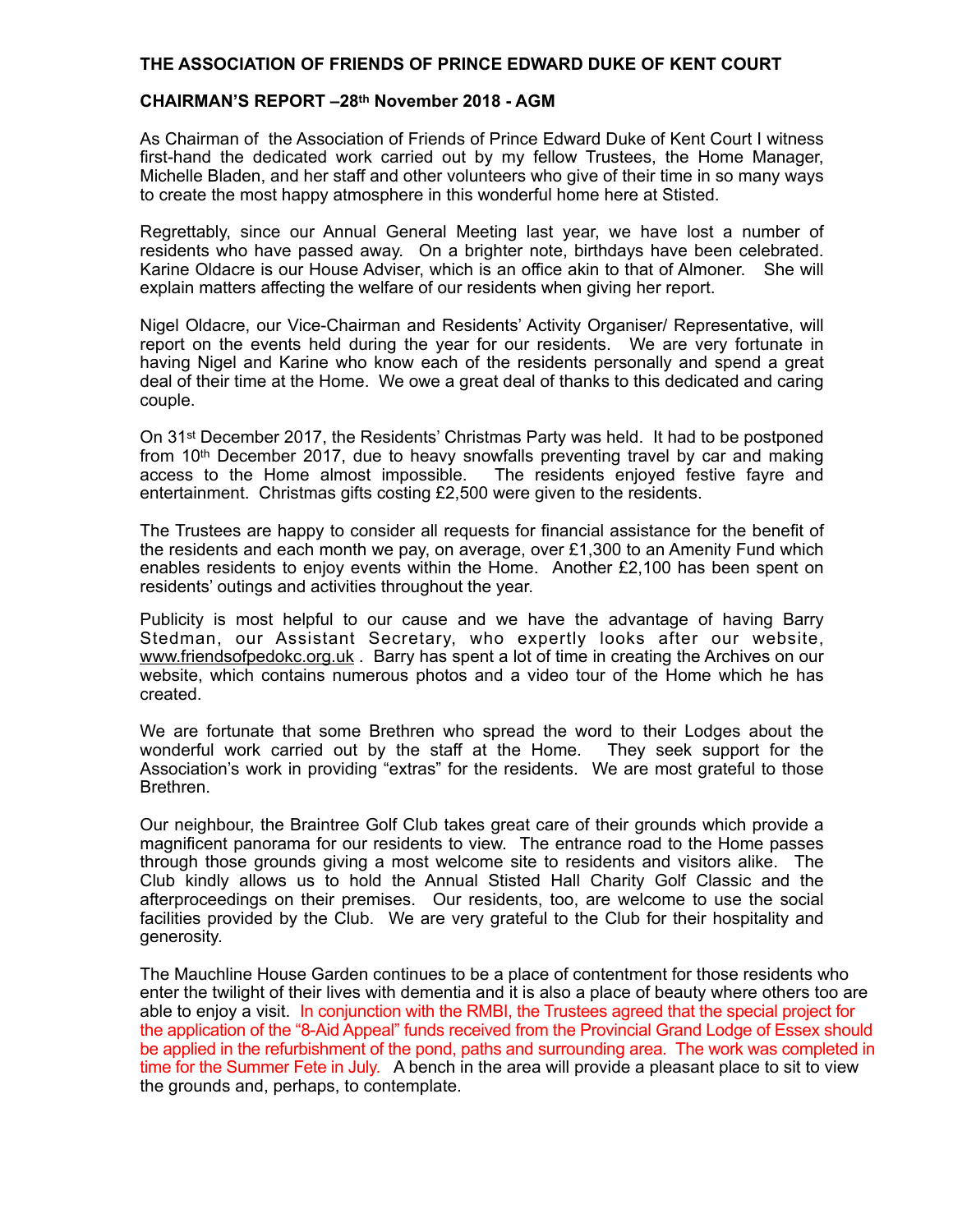## **THE ASSOCIATION OF FRIENDS OF PRINCE EDWARD DUKE OF KENT COURT**

## **CHAIRMAN'S REPORT –28th November 2018 - AGM**

As Chairman of the Association of Friends of Prince Edward Duke of Kent Court I witness first-hand the dedicated work carried out by my fellow Trustees, the Home Manager, Michelle Bladen, and her staff and other volunteers who give of their time in so many ways to create the most happy atmosphere in this wonderful home here at Stisted.

Regrettably, since our Annual General Meeting last year, we have lost a number of residents who have passed away. On a brighter note, birthdays have been celebrated. Karine Oldacre is our House Adviser, which is an office akin to that of Almoner. She will explain matters affecting the welfare of our residents when giving her report.

Nigel Oldacre, our Vice-Chairman and Residents' Activity Organiser/ Representative, will report on the events held during the year for our residents. We are very fortunate in having Nigel and Karine who know each of the residents personally and spend a great deal of their time at the Home. We owe a great deal of thanks to this dedicated and caring couple.

On 31st December 2017, the Residents' Christmas Party was held. It had to be postponed from  $10<sup>th</sup>$  December 2017, due to heavy snowfalls preventing travel by car and making access to the Home almost impossible. The residents enjoyed festive fayre and entertainment. Christmas gifts costing £2,500 were given to the residents.

The Trustees are happy to consider all requests for financial assistance for the benefit of the residents and each month we pay, on average, over £1,300 to an Amenity Fund which enables residents to enjoy events within the Home. Another £2,100 has been spent on residents' outings and activities throughout the year.

Publicity is most helpful to our cause and we have the advantage of having Barry Stedman, our Assistant Secretary, who expertly looks after our website, [www.friendsofpedokc.org.uk](http://www.friendsofpedokc.org.uk) . Barry has spent a lot of time in creating the Archives on our website, which contains numerous photos and a video tour of the Home which he has created.

We are fortunate that some Brethren who spread the word to their Lodges about the wonderful work carried out by the staff at the Home. They seek support for the Association's work in providing "extras" for the residents. We are most grateful to those Brethren.

Our neighbour, the Braintree Golf Club takes great care of their grounds which provide a magnificent panorama for our residents to view. The entrance road to the Home passes through those grounds giving a most welcome site to residents and visitors alike. The Club kindly allows us to hold the Annual Stisted Hall Charity Golf Classic and the afterproceedings on their premises. Our residents, too, are welcome to use the social facilities provided by the Club. We are very grateful to the Club for their hospitality and generosity.

The Mauchline House Garden continues to be a place of contentment for those residents who enter the twilight of their lives with dementia and it is also a place of beauty where others too are able to enjoy a visit. In conjunction with the RMBI, the Trustees agreed that the special project for the application of the "8-Aid Appeal" funds received from the Provincial Grand Lodge of Essex should be applied in the refurbishment of the pond, paths and surrounding area. The work was completed in time for the Summer Fete in July. A bench in the area will provide a pleasant place to sit to view the grounds and, perhaps, to contemplate.